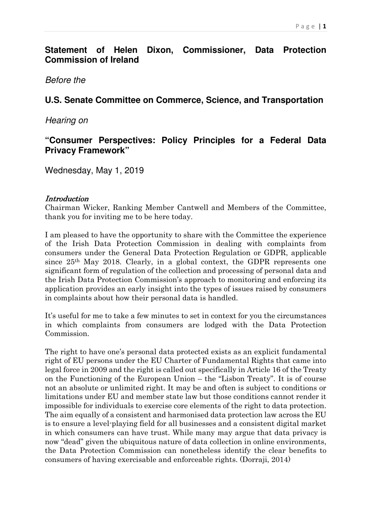# **Statement of Helen Dixon, Commissioner, Data Protection Commission of Ireland**

Before the

# **U.S. Senate Committee on Commerce, Science, and Transportation**

Hearing on

# **"Consumer Perspectives: Policy Principles for a Federal Data Privacy Framework"**

Wednesday, May 1, 2019

### **Introduction**

Chairman Wicker, Ranking Member Cantwell and Members of the Committee, thank you for inviting me to be here today.

I am pleased to have the opportunity to share with the Committee the experience of the Irish Data Protection Commission in dealing with complaints from consumers under the General Data Protection Regulation or GDPR, applicable since 25th May 2018. Clearly, in a global context, the GDPR represents one significant form of regulation of the collection and processing of personal data and the Irish Data Protection Commission's approach to monitoring and enforcing its application provides an early insight into the types of issues raised by consumers in complaints about how their personal data is handled.

It's useful for me to take a few minutes to set in context for you the circumstances in which complaints from consumers are lodged with the Data Protection Commission.

The right to have one's personal data protected exists as an explicit fundamental right of EU persons under the EU Charter of Fundamental Rights that came into legal force in 2009 and the right is called out specifically in Article 16 of the Treaty on the Functioning of the European Union – the "Lisbon Treaty". It is of course not an absolute or unlimited right. It may be and often is subject to conditions or limitations under EU and member state law but those conditions cannot render it impossible for individuals to exercise core elements of the right to data protection. The aim equally of a consistent and harmonised data protection law across the EU is to ensure a level-playing field for all businesses and a consistent digital market in which consumers can have trust. While many may argue that data privacy is now "dead" given the ubiquitous nature of data collection in online environments, the Data Protection Commission can nonetheless identify the clear benefits to consumers of having exercisable and enforceable rights. (Dorraji, 2014)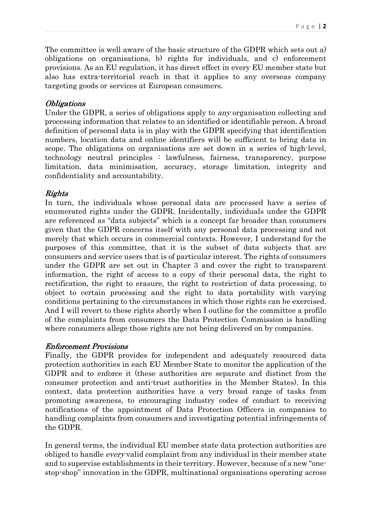The committee is well aware of the basic structure of the GDPR which sets out a) obligations on organisations, b) rights for individuals, and c) enforcement provisions. As an EU regulation, it has direct effect in every EU member state but also has extra-territorial reach in that it applies to any overseas company targeting goods or services at European consumers.

## **Obligations**

Under the GDPR, a series of obligations apply to any organisation collecting and processing information that relates to an identified or identifiable person. A broad definition of personal data is in play with the GDPR specifying that identification numbers, location data and online identifiers will be sufficient to bring data in scope. The obligations on organisations are set down in a series of high-level, technology neutral principles : lawfulness, fairness, transparency, purpose limitation, data minimisation, accuracy, storage limitation, integrity and confidentiality and accountability.

# Rights

In turn, the individuals whose personal data are processed have a series of enumerated rights under the GDPR. Incidentally, individuals under the GDPR are referenced as "data subjects" which is a concept far broader than consumers given that the GDPR concerns itself with any personal data processing and not merely that which occurs in commercial contexts. However, I understand for the purposes of this committee, that it is the subset of data subjects that are consumers and service users that is of particular interest. The rights of consumers under the GDPR are set out in Chapter 3 and cover the right to transparent information, the right of access to a copy of their personal data, the right to rectification, the right to erasure, the right to restriction of data processing, to object to certain processing and the right to data portability with varying conditions pertaining to the circumstances in which those rights can be exercised. And I will revert to these rights shortly when I outline for the committee a profile of the complaints from consumers the Data Protection Commission is handling where consumers allege those rights are not being delivered on by companies.

## Enforcement Provisions

Finally, the GDPR provides for independent and adequately resourced data protection authorities in each EU Member State to monitor the application of the GDPR and to enforce it (these authorities are separate and distinct from the consumer protection and anti-trust authorities in the Member States). In this context, data protection authorities have a very broad range of tasks from promoting awareness, to encouraging industry codes of conduct to receiving notifications of the appointment of Data Protection Officers in companies to handling complaints from consumers and investigating potential infringements of the GDPR.

In general terms, the individual EU member state data protection authorities are obliged to handle every valid complaint from any individual in their member state and to supervise establishments in their territory. However, because of a new "onestop-shop" innovation in the GDPR, multinational organisations operating across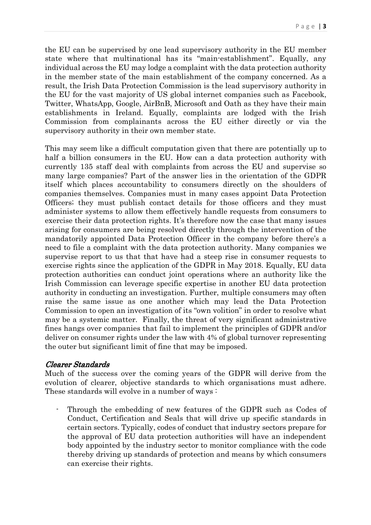P a g e | 3

the EU can be supervised by one lead supervisory authority in the EU member state where that multinational has its "main-establishment". Equally, any individual across the EU may lodge a complaint with the data protection authority in the member state of the main establishment of the company concerned. As a result, the Irish Data Protection Commission is the lead supervisory authority in the EU for the vast majority of US global internet companies such as Facebook, Twitter, WhatsApp, Google, AirBnB, Microsoft and Oath as they have their main establishments in Ireland. Equally, complaints are lodged with the Irish Commission from complainants across the EU either directly or via the supervisory authority in their own member state.

This may seem like a difficult computation given that there are potentially up to half a billion consumers in the EU. How can a data protection authority with currently 135 staff deal with complaints from across the EU and supervise so many large companies? Part of the answer lies in the orientation of the GDPR itself which places accountability to consumers directly on the shoulders of companies themselves. Companies must in many cases appoint Data Protection Officers; they must publish contact details for those officers and they must administer systems to allow them effectively handle requests from consumers to exercise their data protection rights. It's therefore now the case that many issues arising for consumers are being resolved directly through the intervention of the mandatorily appointed Data Protection Officer in the company before there's a need to file a complaint with the data protection authority. Many companies we supervise report to us that that have had a steep rise in consumer requests to exercise rights since the application of the GDPR in May 2018. Equally, EU data protection authorities can conduct joint operations where an authority like the Irish Commission can leverage specific expertise in another EU data protection authority in conducting an investigation. Further, multiple consumers may often raise the same issue as one another which may lead the Data Protection Commission to open an investigation of its "own volition" in order to resolve what may be a systemic matter. Finally, the threat of very significant administrative fines hangs over companies that fail to implement the principles of GDPR and/or deliver on consumer rights under the law with 4% of global turnover representing the outer but significant limit of fine that may be imposed.

## Clearer Standards

Much of the success over the coming years of the GDPR will derive from the evolution of clearer, objective standards to which organisations must adhere. These standards will evolve in a number of ways :

Through the embedding of new features of the GDPR such as Codes of Conduct, Certification and Seals that will drive up specific standards in certain sectors. Typically, codes of conduct that industry sectors prepare for the approval of EU data protection authorities will have an independent body appointed by the industry sector to monitor compliance with the code thereby driving up standards of protection and means by which consumers can exercise their rights.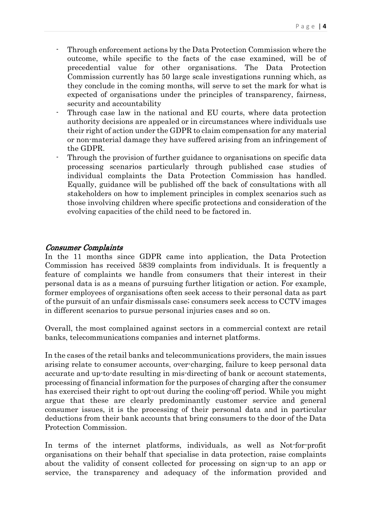- Through enforcement actions by the Data Protection Commission where the outcome, while specific to the facts of the case examined, will be of precedential value for other organisations. The Data Protection Commission currently has 50 large scale investigations running which, as they conclude in the coming months, will serve to set the mark for what is expected of organisations under the principles of transparency, fairness, security and accountability
- Through case law in the national and EU courts, where data protection authority decisions are appealed or in circumstances where individuals use their right of action under the GDPR to claim compensation for any material or non-material damage they have suffered arising from an infringement of the GDPR.
- Through the provision of further guidance to organisations on specific data processing scenarios particularly through published case studies of individual complaints the Data Protection Commission has handled. Equally, guidance will be published off the back of consultations with all stakeholders on how to implement principles in complex scenarios such as those involving children where specific protections and consideration of the evolving capacities of the child need to be factored in.

### Consumer Complaints

In the 11 months since GDPR came into application, the Data Protection Commission has received 5839 complaints from individuals. It is frequently a feature of complaints we handle from consumers that their interest in their personal data is as a means of pursuing further litigation or action. For example, former employees of organisations often seek access to their personal data as part of the pursuit of an unfair dismissals case; consumers seek access to CCTV images in different scenarios to pursue personal injuries cases and so on.

Overall, the most complained against sectors in a commercial context are retail banks, telecommunications companies and internet platforms.

In the cases of the retail banks and telecommunications providers, the main issues arising relate to consumer accounts, over-charging, failure to keep personal data accurate and up-to-date resulting in mis-directing of bank or account statements, processing of financial information for the purposes of charging after the consumer has exercised their right to opt-out during the cooling-off period. While you might argue that these are clearly predominantly customer service and general consumer issues, it is the processing of their personal data and in particular deductions from their bank accounts that bring consumers to the door of the Data Protection Commission.

In terms of the internet platforms, individuals, as well as Not-for-profit organisations on their behalf that specialise in data protection, raise complaints about the validity of consent collected for processing on sign-up to an app or service, the transparency and adequacy of the information provided and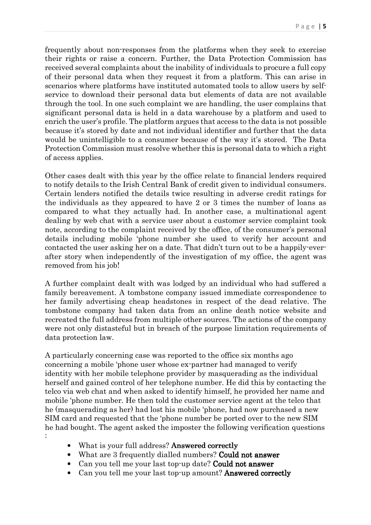P a g e | 5

frequently about non-responses from the platforms when they seek to exercise their rights or raise a concern. Further, the Data Protection Commission has received several complaints about the inability of individuals to procure a full copy of their personal data when they request it from a platform. This can arise in scenarios where platforms have instituted automated tools to allow users by selfservice to download their personal data but elements of data are not available through the tool. In one such complaint we are handling, the user complains that significant personal data is held in a data warehouse by a platform and used to enrich the user's profile. The platform argues that access to the data is not possible because it's stored by date and not individual identifier and further that the data would be unintelligible to a consumer because of the way it's stored. The Data Protection Commission must resolve whether this is personal data to which a right of access applies.

Other cases dealt with this year by the office relate to financial lenders required to notify details to the Irish Central Bank of credit given to individual consumers. Certain lenders notified the details twice resulting in adverse credit ratings for the individuals as they appeared to have 2 or 3 times the number of loans as compared to what they actually had. In another case, a multinational agent dealing by web chat with a service user about a customer service complaint took note, according to the complaint received by the office, of the consumer's personal details including mobile 'phone number she used to verify her account and contacted the user asking her on a date. That didn't turn out to be a happily-everafter story when independently of the investigation of my office, the agent was removed from his job!

A further complaint dealt with was lodged by an individual who had suffered a family bereavement. A tombstone company issued immediate correspondence to her family advertising cheap headstones in respect of the dead relative. The tombstone company had taken data from an online death notice website and recreated the full address from multiple other sources. The actions of the company were not only distasteful but in breach of the purpose limitation requirements of data protection law.

A particularly concerning case was reported to the office six months ago concerning a mobile 'phone user whose ex-partner had managed to verify identity with her mobile telephone provider by masquerading as the individual herself and gained control of her telephone number. He did this by contacting the telco via web chat and when asked to identify himself, he provided her name and mobile 'phone number. He then told the customer service agent at the telco that he (masquerading as her) had lost his mobile 'phone, had now purchased a new SIM card and requested that the 'phone number be ported over to the new SIM he had bought. The agent asked the imposter the following verification questions :

- What is your full address? **Answered correctly**
- What are 3 frequently dialled numbers? Could not answer
- Can you tell me your last top-up date? Could not answer
- Can you tell me your last top-up amount? Answered correctly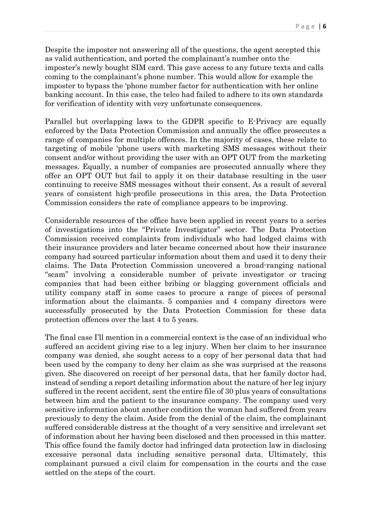Despite the imposter not answering all of the questions, the agent accepted this as valid authentication, and ported the complainant's number onto the imposter's newly bought SIM card. This gave access to any future texts and calls coming to the complainant's phone number. This would allow for example the imposter to bypass the 'phone number factor for authentication with her online banking account. In this case, the telco had failed to adhere to its own standards for verification of identity with very unfortunate consequences.

Parallel but overlapping laws to the GDPR specific to E-Privacy are equally enforced by the Data Protection Commission and annually the office prosecutes a range of companies for multiple offences. In the majority of cases, these relate to targeting of mobile 'phone users with marketing SMS messages without their consent and/or without providing the user with an OPT OUT from the marketing messages. Equally, a number of companies are prosecuted annually where they offer an OPT OUT but fail to apply it on their database resulting in the user continuing to receive SMS messages without their consent. As a result of several years of consistent high-profile prosecutions in this area, the Data Protection Commission considers the rate of compliance appears to be improving.

Considerable resources of the office have been applied in recent years to a series of investigations into the "Private Investigator" sector. The Data Protection Commission received complaints from individuals who had lodged claims with their insurance providers and later became concerned about how their insurance company had sourced particular information about them and used it to deny their claims. The Data Protection Commission uncovered a broad-ranging national "scam" involving a considerable number of private investigator or tracing companies that had been either bribing or blagging government officials and utility company staff in some cases to procure a range of pieces of personal information about the claimants. 5 companies and 4 company directors were successfully prosecuted by the Data Protection Commission for these data protection offences over the last 4 to 5 years.

The final case I'll mention in a commercial context is the case of an individual who suffered an accident giving rise to a leg injury. When her claim to her insurance company was denied, she sought access to a copy of her personal data that had been used by the company to deny her claim as she was surprised at the reasons given. She discovered on receipt of her personal data, that her family doctor had, instead of sending a report detailing information about the nature of her leg injury suffered in the recent accident, sent the entire file of 30 plus years of consultations between him and the patient to the insurance company. The company used very sensitive information about another condition the woman had suffered from years previously to deny the claim. Aside from the denial of the claim, the complainant suffered considerable distress at the thought of a very sensitive and irrelevant set of information about her having been disclosed and then processed in this matter. This office found the family doctor had infringed data protection law in disclosing excessive personal data including sensitive personal data. Ultimately, this complainant pursued a civil claim for compensation in the courts and the case settled on the steps of the court.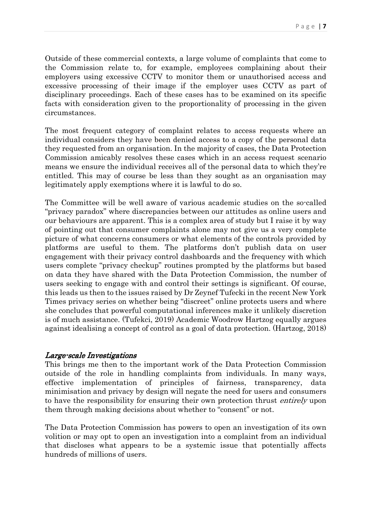Outside of these commercial contexts, a large volume of complaints that come to the Commission relate to, for example, employees complaining about their employers using excessive CCTV to monitor them or unauthorised access and excessive processing of their image if the employer uses CCTV as part of disciplinary proceedings. Each of these cases has to be examined on its specific facts with consideration given to the proportionality of processing in the given circumstances.

The most frequent category of complaint relates to access requests where an individual considers they have been denied access to a copy of the personal data they requested from an organisation. In the majority of cases, the Data Protection Commission amicably resolves these cases which in an access request scenario means we ensure the individual receives all of the personal data to which they're entitled. This may of course be less than they sought as an organisation may legitimately apply exemptions where it is lawful to do so.

The Committee will be well aware of various academic studies on the so-called "privacy paradox" where discrepancies between our attitudes as online users and our behaviours are apparent. This is a complex area of study but I raise it by way of pointing out that consumer complaints alone may not give us a very complete picture of what concerns consumers or what elements of the controls provided by platforms are useful to them. The platforms don't publish data on user engagement with their privacy control dashboards and the frequency with which users complete "privacy checkup" routines prompted by the platforms but based on data they have shared with the Data Protection Commission, the number of users seeking to engage with and control their settings is significant. Of course, this leads us then to the issues raised by Dr Zeynef Tufecki in the recent New York Times privacy series on whether being "discreet" online protects users and where she concludes that powerful computational inferences make it unlikely discretion is of much assistance. (Tufekci, 2019) Academic Woodrow Hartzog equally argues against idealising a concept of control as a goal of data protection. (Hartzog, 2018)

#### Large-scale Investigations

This brings me then to the important work of the Data Protection Commission outside of the role in handling complaints from individuals. In many ways, effective implementation of principles of fairness, transparency, data minimisation and privacy by design will negate the need for users and consumers to have the responsibility for ensuring their own protection thrust entirely upon them through making decisions about whether to "consent" or not.

The Data Protection Commission has powers to open an investigation of its own volition or may opt to open an investigation into a complaint from an individual that discloses what appears to be a systemic issue that potentially affects hundreds of millions of users.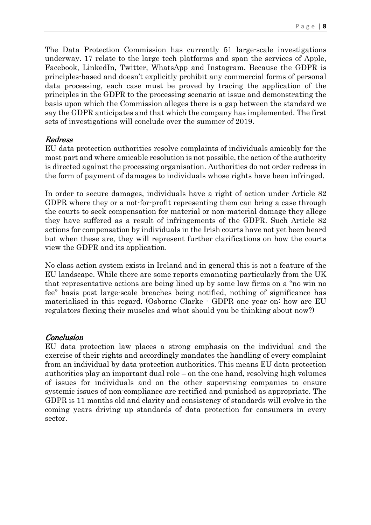The Data Protection Commission has currently 51 large-scale investigations underway. 17 relate to the large tech platforms and span the services of Apple, Facebook, LinkedIn, Twitter, WhatsApp and Instagram. Because the GDPR is principles-based and doesn't explicitly prohibit any commercial forms of personal data processing, each case must be proved by tracing the application of the principles in the GDPR to the processing scenario at issue and demonstrating the basis upon which the Commission alleges there is a gap between the standard we say the GDPR anticipates and that which the company has implemented. The first sets of investigations will conclude over the summer of 2019.

#### **Redress**

EU data protection authorities resolve complaints of individuals amicably for the most part and where amicable resolution is not possible, the action of the authority is directed against the processing organisation. Authorities do not order redress in the form of payment of damages to individuals whose rights have been infringed.

In order to secure damages, individuals have a right of action under Article 82 GDPR where they or a not-for-profit representing them can bring a case through the courts to seek compensation for material or non-material damage they allege they have suffered as a result of infringements of the GDPR. Such Article 82 actions for compensation by individuals in the Irish courts have not yet been heard but when these are, they will represent further clarifications on how the courts view the GDPR and its application.

No class action system exists in Ireland and in general this is not a feature of the EU landscape. While there are some reports emanating particularly from the UK that representative actions are being lined up by some law firms on a "no win no fee" basis post large-scale breaches being notified, nothing of significance has materialised in this regard. (Osborne Clarke - GDPR one year on: how are EU regulators flexing their muscles and what should you be thinking about now?)

#### **Conclusion**

EU data protection law places a strong emphasis on the individual and the exercise of their rights and accordingly mandates the handling of every complaint from an individual by data protection authorities. This means EU data protection authorities play an important dual role – on the one hand, resolving high volumes of issues for individuals and on the other supervising companies to ensure systemic issues of non-compliance are rectified and punished as appropriate. The GDPR is 11 months old and clarity and consistency of standards will evolve in the coming years driving up standards of data protection for consumers in every sector.